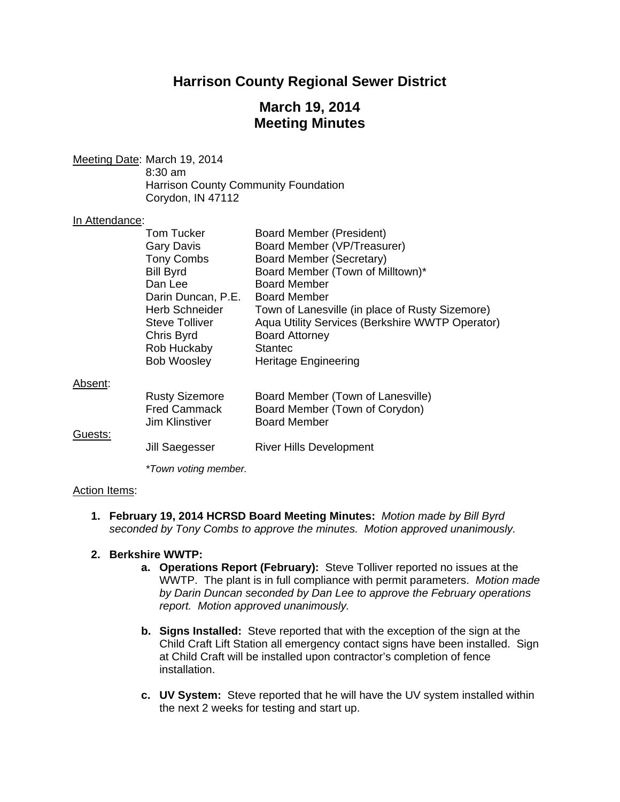# **Harrison County Regional Sewer District**

# **March 19, 2014 Meeting Minutes**

Meeting Date: March 19, 2014 8:30 am Harrison County Community Foundation Corydon, IN 47112

#### In Attendance:

|         | Tom Tucker            | <b>Board Member (President)</b>                 |
|---------|-----------------------|-------------------------------------------------|
|         | <b>Gary Davis</b>     | Board Member (VP/Treasurer)                     |
|         | <b>Tony Combs</b>     | Board Member (Secretary)                        |
|         | <b>Bill Byrd</b>      | Board Member (Town of Milltown)*                |
|         | Dan Lee               | <b>Board Member</b>                             |
|         | Darin Duncan, P.E.    | <b>Board Member</b>                             |
|         | <b>Herb Schneider</b> | Town of Lanesville (in place of Rusty Sizemore) |
|         | Steve Tolliver        | Aqua Utility Services (Berkshire WWTP Operator) |
|         | Chris Byrd            | <b>Board Attorney</b>                           |
|         | Rob Huckaby           | <b>Stantec</b>                                  |
|         | <b>Bob Woosley</b>    | Heritage Engineering                            |
| Absent: |                       |                                                 |
|         | <b>Rusty Sizemore</b> | Board Member (Town of Lanesville)               |
|         | <b>Fred Cammack</b>   | Board Member (Town of Corydon)                  |
|         | <b>Jim Klinstiver</b> | <b>Board Member</b>                             |
| Guests: |                       |                                                 |
|         | Jill Saegesser        | <b>River Hills Development</b>                  |
|         |                       |                                                 |

*\*Town voting member.*

## Action Items:

**1. February 19, 2014 HCRSD Board Meeting Minutes:** *Motion made by Bill Byrd seconded by Tony Combs to approve the minutes. Motion approved unanimously.* 

#### **2. Berkshire WWTP:**

- **a. Operations Report (February):** Steve Tolliver reported no issues at the WWTP. The plant is in full compliance with permit parameters. *Motion made by Darin Duncan seconded by Dan Lee to approve the February operations report. Motion approved unanimously.*
- **b. Signs Installed:** Steve reported that with the exception of the sign at the Child Craft Lift Station all emergency contact signs have been installed. Sign at Child Craft will be installed upon contractor's completion of fence installation.
- **c. UV System:** Steve reported that he will have the UV system installed within the next 2 weeks for testing and start up.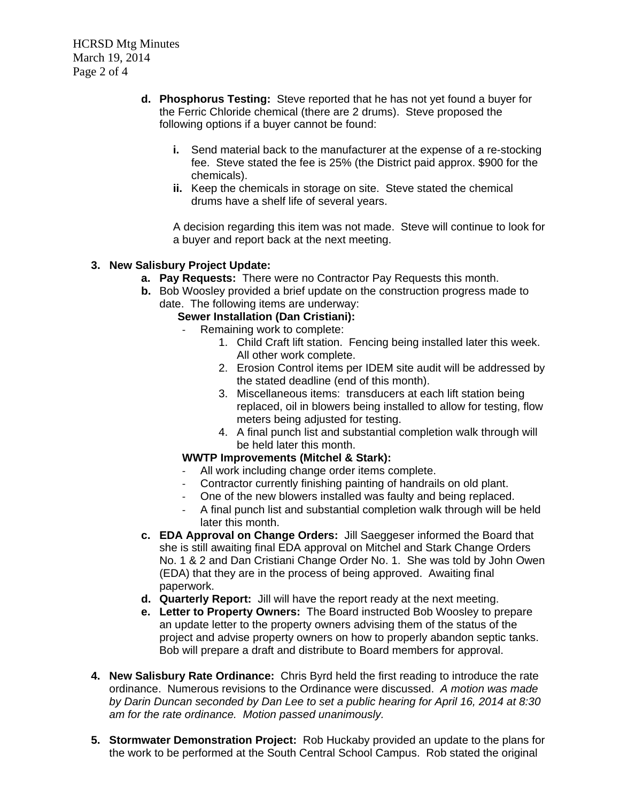- **d. Phosphorus Testing:** Steve reported that he has not yet found a buyer for the Ferric Chloride chemical (there are 2 drums). Steve proposed the following options if a buyer cannot be found:
	- **i.** Send material back to the manufacturer at the expense of a re-stocking fee. Steve stated the fee is 25% (the District paid approx. \$900 for the chemicals).
	- **ii.** Keep the chemicals in storage on site. Steve stated the chemical drums have a shelf life of several years.

A decision regarding this item was not made. Steve will continue to look for a buyer and report back at the next meeting.

## **3. New Salisbury Project Update:**

- **a. Pay Requests:** There were no Contractor Pay Requests this month.
- **b.** Bob Woosley provided a brief update on the construction progress made to date. The following items are underway:

## **Sewer Installation (Dan Cristiani):**

- Remaining work to complete:
	- 1. Child Craft lift station. Fencing being installed later this week. All other work complete.
	- 2. Erosion Control items per IDEM site audit will be addressed by the stated deadline (end of this month).
	- 3. Miscellaneous items: transducers at each lift station being replaced, oil in blowers being installed to allow for testing, flow meters being adjusted for testing.
	- 4. A final punch list and substantial completion walk through will be held later this month.

## **WWTP Improvements (Mitchel & Stark):**

- All work including change order items complete.
- Contractor currently finishing painting of handrails on old plant.
- One of the new blowers installed was faulty and being replaced.
- A final punch list and substantial completion walk through will be held later this month.
- **c. EDA Approval on Change Orders:** Jill Saeggeser informed the Board that she is still awaiting final EDA approval on Mitchel and Stark Change Orders No. 1 & 2 and Dan Cristiani Change Order No. 1. She was told by John Owen (EDA) that they are in the process of being approved. Awaiting final paperwork.
- **d. Quarterly Report:** Jill will have the report ready at the next meeting.
- **e. Letter to Property Owners:** The Board instructed Bob Woosley to prepare an update letter to the property owners advising them of the status of the project and advise property owners on how to properly abandon septic tanks. Bob will prepare a draft and distribute to Board members for approval.
- **4. New Salisbury Rate Ordinance:** Chris Byrd held the first reading to introduce the rate ordinance. Numerous revisions to the Ordinance were discussed. *A motion was made by Darin Duncan seconded by Dan Lee to set a public hearing for April 16, 2014 at 8:30 am for the rate ordinance. Motion passed unanimously.*
- **5. Stormwater Demonstration Project:**Rob Huckaby provided an update to the plans for the work to be performed at the South Central School Campus. Rob stated the original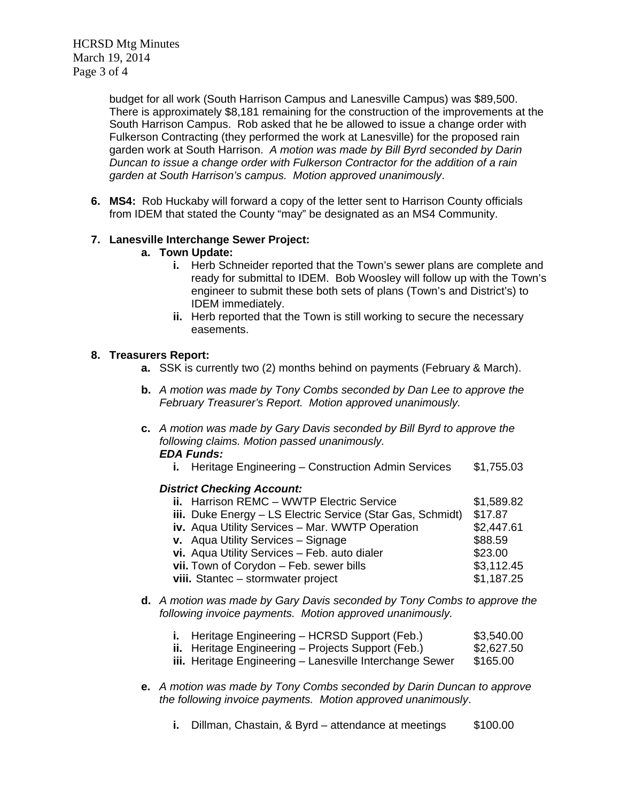HCRSD Mtg Minutes March 19, 2014 Page 3 of 4

> budget for all work (South Harrison Campus and Lanesville Campus) was \$89,500. There is approximately \$8,181 remaining for the construction of the improvements at the South Harrison Campus. Rob asked that he be allowed to issue a change order with Fulkerson Contracting (they performed the work at Lanesville) for the proposed rain garden work at South Harrison. *A motion was made by Bill Byrd seconded by Darin Duncan to issue a change order with Fulkerson Contractor for the addition of a rain garden at South Harrison's campus. Motion approved unanimously*.

**6. MS4:**Rob Huckaby will forward a copy of the letter sent to Harrison County officials from IDEM that stated the County "may" be designated as an MS4 Community.

### **7. Lanesville Interchange Sewer Project:**

- **a. Town Update:** 
	- **i.** Herb Schneider reported that the Town's sewer plans are complete and ready for submittal to IDEM. Bob Woosley will follow up with the Town's engineer to submit these both sets of plans (Town's and District's) to IDEM immediately.
	- **ii.** Herb reported that the Town is still working to secure the necessary easements.

#### **8. Treasurers Report:**

- **a.** SSK is currently two (2) months behind on payments (February & March).
- **b.** *A motion was made by Tony Combs seconded by Dan Lee to approve the February Treasurer's Report. Motion approved unanimously.*
- **c.** *A motion was made by Gary Davis seconded by Bill Byrd to approve the following claims. Motion passed unanimously. EDA Funds:*
	- **i.** Heritage Engineering Construction Admin Services \$1,755.03

#### *District Checking Account:*

| ii. Harrison REMC - WWTP Electric Service                  | \$1,589.82 |
|------------------------------------------------------------|------------|
| iii. Duke Energy - LS Electric Service (Star Gas, Schmidt) | \$17.87    |
| iv. Aqua Utility Services - Mar. WWTP Operation            | \$2,447.61 |
| v. Aqua Utility Services - Signage                         | \$88.59    |
| vi. Aqua Utility Services - Feb. auto dialer               | \$23.00    |
| vii. Town of Corydon - Feb. sewer bills                    | \$3,112.45 |
| viii. Stantec - stormwater project                         | \$1,187.25 |

**d.** *A motion was made by Gary Davis seconded by Tony Combs to approve the following invoice payments. Motion approved unanimously.*

| i. Heritage Engineering - HCRSD Support (Feb.)            | \$3,540.00 |
|-----------------------------------------------------------|------------|
| <b>ii.</b> Heritage Engineering – Projects Support (Feb.) | \$2,627.50 |
| iii. Heritage Engineering - Lanesville Interchange Sewer  | \$165.00   |

- **e.** *A motion was made by Tony Combs seconded by Darin Duncan to approve the following invoice payments. Motion approved unanimously*.
	- **i.** Dillman, Chastain, & Byrd attendance at meetings \$100.00